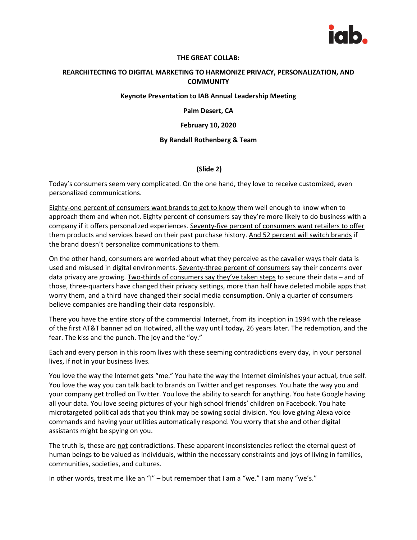

### **THE GREAT COLLAB:**

## **REARCHITECTING TO DIGITAL MARKETING TO HARMONIZE PRIVACY, PERSONALIZATION, AND COMMUNITY**

### **Keynote Presentation to IAB Annual Leadership Meeting**

#### **Palm Desert, CA**

### **February 10, 2020**

### **By Randall Rothenberg & Team**

## **(Slide 2)**

Today's consumers seem very complicated. On the one hand, they love to receive customized, even personalized communications.

Eighty-one percent of consumers want brands to get to know them well enough to know when to approach them and when not. Eighty percent of consumers say they're more likely to do business with a company if it offers personalized experiences. Seventy-five percent of consumers want retailers to offer them products and services based on their past purchase history. And 52 percent will switch brands if the brand doesn't personalize communications to them.

On the other hand, consumers are worried about what they perceive as the cavalier ways their data is used and misused in digital environments. Seventy-three percent of consumers say their concerns over data privacy are growing. Two-thirds of consumers say they've taken steps to secure their data – and of those, three-quarters have changed their privacy settings, more than half have deleted mobile apps that worry them, and a third have changed their social media consumption. Only a quarter of consumers believe companies are handling their data responsibly.

There you have the entire story of the commercial Internet, from its inception in 1994 with the release of the first AT&T banner ad on Hotwired, all the way until today, 26 years later. The redemption, and the fear. The kiss and the punch. The joy and the "oy."

Each and every person in this room lives with these seeming contradictions every day, in your personal lives, if not in your business lives.

You love the way the Internet gets "me." You hate the way the Internet diminishes your actual, true self. You love the way you can talk back to brands on Twitter and get responses. You hate the way you and your company get trolled on Twitter. You love the ability to search for anything. You hate Google having all your data. You love seeing pictures of your high school friends' children on Facebook. You hate microtargeted political ads that you think may be sowing social division. You love giving Alexa voice commands and having your utilities automatically respond. You worry that she and other digital assistants might be spying on you.

The truth is, these are not contradictions. These apparent inconsistencies reflect the eternal quest of human beings to be valued as individuals, within the necessary constraints and joys of living in families, communities, societies, and cultures.

In other words, treat me like an "I" – but remember that I am a "we." I am many "we's."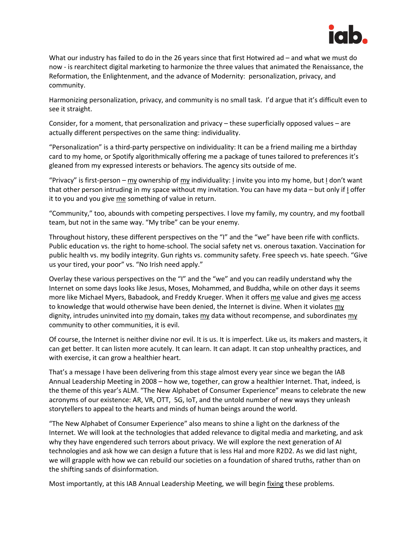

What our industry has failed to do in the 26 years since that first Hotwired ad – and what we must do now - is rearchitect digital marketing to harmonize the three values that animated the Renaissance, the Reformation, the Enlightenment, and the advance of Modernity: personalization, privacy, and community.

Harmonizing personalization, privacy, and community is no small task. I'd argue that it's difficult even to see it straight.

Consider, for a moment, that personalization and privacy – these superficially opposed values – are actually different perspectives on the same thing: individuality.

"Personalization" is a third-party perspective on individuality: It can be a friend mailing me a birthday card to my home, or Spotify algorithmically offering me a package of tunes tailored to preferences it's gleaned from my expressed interests or behaviors. The agency sits outside of me.

"Privacy" is first-person – my ownership of my individuality: I invite you into my home, but I don't want that other person intruding in my space without my invitation. You can have my data – but only if I offer it to you and you give me something of value in return.

"Community," too, abounds with competing perspectives. I love my family, my country, and my football team, but not in the same way. "My tribe" can be your enemy.

Throughout history, these different perspectives on the "I" and the "we" have been rife with conflicts. Public education vs. the right to home-school. The social safety net vs. onerous taxation. Vaccination for public health vs. my bodily integrity. Gun rights vs. community safety. Free speech vs. hate speech. "Give us your tired, your poor" vs. "No Irish need apply."

Overlay these various perspectives on the "I" and the "we" and you can readily understand why the Internet on some days looks like Jesus, Moses, Mohammed, and Buddha, while on other days it seems more like Michael Myers, Babadook, and Freddy Krueger. When it offers me value and gives me access to knowledge that would otherwise have been denied, the Internet is divine. When it violates my dignity, intrudes uninvited into my domain, takes my data without recompense, and subordinates my community to other communities, it is evil.

Of course, the Internet is neither divine nor evil. It is us. It is imperfect. Like us, its makers and masters, it can get better. It can listen more acutely. It can learn. It can adapt. It can stop unhealthy practices, and with exercise, it can grow a healthier heart.

That's a message I have been delivering from this stage almost every year since we began the IAB Annual Leadership Meeting in 2008 – how we, together, can grow a healthier Internet. That, indeed, is the theme of this year's ALM. "The New Alphabet of Consumer Experience" means to celebrate the new acronyms of our existence: AR, VR, OTT, 5G, IoT, and the untold number of new ways they unleash storytellers to appeal to the hearts and minds of human beings around the world.

"The New Alphabet of Consumer Experience" also means to shine a light on the darkness of the Internet. We will look at the technologies that added relevance to digital media and marketing, and ask why they have engendered such terrors about privacy. We will explore the next generation of AI technologies and ask how we can design a future that is less Hal and more R2D2. As we did last night, we will grapple with how we can rebuild our societies on a foundation of shared truths, rather than on the shifting sands of disinformation.

Most importantly, at this IAB Annual Leadership Meeting, we will begin fixing these problems.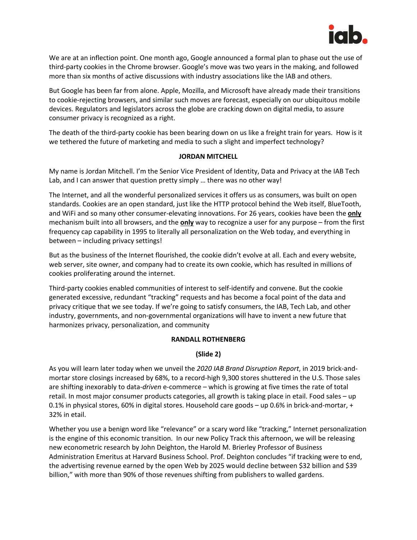

We are at an inflection point. One month ago, Google announced a formal plan to phase out the use of third-party cookies in the Chrome browser. Google's move was two years in the making, and followed more than six months of active discussions with industry associations like the IAB and others.

But Google has been far from alone. Apple, Mozilla, and Microsoft have already made their transitions to cookie-rejecting browsers, and similar such moves are forecast, especially on our ubiquitous mobile devices. Regulators and legislators across the globe are cracking down on digital media, to assure consumer privacy is recognized as a right.

The death of the third-party cookie has been bearing down on us like a freight train for years. How is it we tethered the future of marketing and media to such a slight and imperfect technology?

## **JORDAN MITCHELL**

My name is Jordan Mitchell. I'm the Senior Vice President of Identity, Data and Privacy at the IAB Tech Lab, and I can answer that question pretty simply ... there was no other way!

The Internet, and all the wonderful personalized services it offers us as consumers, was built on open standards. Cookies are an open standard, just like the HTTP protocol behind the Web itself, BlueTooth, and WiFi and so many other consumer-elevating innovations. For 26 years, cookies have been the **only** mechanism built into all browsers, and the **only** way to recognize a user for any purpose – from the first frequency cap capability in 1995 to literally all personalization on the Web today, and everything in between – including privacy settings!

But as the business of the Internet flourished, the cookie didn't evolve at all. Each and every website, web server, site owner, and company had to create its own cookie, which has resulted in millions of cookies proliferating around the internet.

Third-party cookies enabled communities of interest to self-identify and convene. But the cookie generated excessive, redundant "tracking" requests and has become a focal point of the data and privacy critique that we see today. If we're going to satisfy consumers, the IAB, Tech Lab, and other industry, governments, and non-governmental organizations will have to invent a new future that harmonizes privacy, personalization, and community

## **RANDALL ROTHENBERG**

## **(Slide 2)**

As you will learn later today when we unveil the *2020 IAB Brand Disruption Report*, in 2019 brick-andmortar store closings increased by 68%, to a record-high 9,300 stores shuttered in the U.S. Those sales are shifting inexorably to data*-driven* e-commerce – which is growing at five times the rate of total retail. In most major consumer products categories, all growth is taking place in etail. Food sales – up 0.1% in physical stores, 60% in digital stores. Household care goods – up 0.6% in brick-and-mortar, + 32% in etail.

Whether you use a benign word like "relevance" or a scary word like "tracking," Internet personalization is the engine of this economic transition. In our new Policy Track this afternoon, we will be releasing new econometric research by John Deighton, the Harold M. Brierley Professor of Business Administration Emeritus at Harvard Business School. Prof. Deighton concludes "if tracking were to end, the advertising revenue earned by the open Web by 2025 would decline between \$32 billion and \$39 billion," with more than 90% of those revenues shifting from publishers to walled gardens.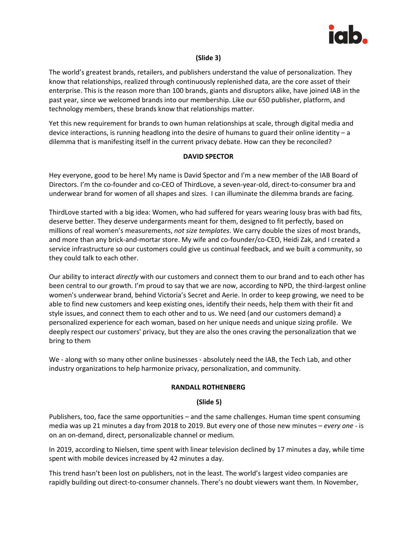

## **(Slide 3)**

The world's greatest brands, retailers, and publishers understand the value of personalization. They know that relationships, realized through continuously replenished data, are the core asset of their enterprise. This is the reason more than 100 brands, giants and disruptors alike, have joined IAB in the past year, since we welcomed brands into our membership. Like our 650 publisher, platform, and technology members, these brands know that relationships matter.

Yet this new requirement for brands to own human relationships at scale, through digital media and device interactions, is running headlong into the desire of humans to guard their online identity – a dilemma that is manifesting itself in the current privacy debate. How can they be reconciled?

## **DAVID SPECTOR**

Hey everyone, good to be here! My name is David Spector and I'm a new member of the IAB Board of Directors. I'm the co-founder and co-CEO of ThirdLove, a seven-year-old, direct-to-consumer bra and underwear brand for women of all shapes and sizes. I can illuminate the dilemma brands are facing.

ThirdLove started with a big idea: Women, who had suffered for years wearing lousy bras with bad fits, deserve better. They deserve undergarments meant for them, designed to fit perfectly, based on millions of real women's measurements, *not size templates*. We carry double the sizes of most brands, and more than any brick-and-mortar store. My wife and co-founder/co-CEO, Heidi Zak, and I created a service infrastructure so our customers could give us continual feedback, and we built a community, so they could talk to each other.

Our ability to interact *directly* with our customers and connect them to our brand and to each other has been central to our growth. I'm proud to say that we are now, according to NPD, the third-largest online women's underwear brand, behind Victoria's Secret and Aerie. In order to keep growing, we need to be able to find new customers and keep existing ones, identify their needs, help them with their fit and style issues, and connect them to each other and to us. We need (and our customers demand) a personalized experience for each woman, based on her unique needs and unique sizing profile. We deeply respect our customers' privacy, but they are also the ones craving the personalization that we bring to them

We - along with so many other online businesses - absolutely need the IAB, the Tech Lab, and other industry organizations to help harmonize privacy, personalization, and community.

## **RANDALL ROTHENBERG**

### **(Slide 5)**

Publishers, too, face the same opportunities – and the same challenges. Human time spent consuming media was up 21 minutes a day from 2018 to 2019. But every one of those new minutes – *every one* - is on an on-demand, direct, personalizable channel or medium.

In 2019, according to Nielsen, time spent with linear television declined by 17 minutes a day, while time spent with mobile devices increased by 42 minutes a day.

This trend hasn't been lost on publishers, not in the least. The world's largest video companies are rapidly building out direct-to-consumer channels. There's no doubt viewers want them. In November,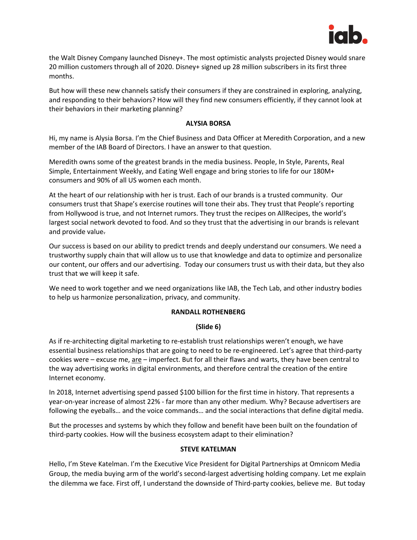

the Walt Disney Company launched Disney+. The most optimistic analysts projected Disney would snare 20 million customers through all of 2020. Disney+ signed up 28 million subscribers in its first three months.

But how will these new channels satisfy their consumers if they are constrained in exploring, analyzing, and responding to their behaviors? How will they find new consumers efficiently, if they cannot look at their behaviors in their marketing planning?

## **ALYSIA BORSA**

Hi, my name is Alysia Borsa. I'm the Chief Business and Data Officer at Meredith Corporation, and a new member of the IAB Board of Directors. I have an answer to that question.

Meredith owns some of the greatest brands in the media business. People, In Style, Parents, Real Simple, Entertainment Weekly, and Eating Well engage and bring stories to life for our 180M+ consumers and 90% of all US women each month.

At the heart of our relationship with her is trust. Each of our brands is a trusted community. Our consumers trust that Shape's exercise routines will tone their abs. They trust that People's reporting from Hollywood is true, and not Internet rumors. They trust the recipes on AllRecipes, the world's largest social network devoted to food. And so they trust that the advertising in our brands is relevant and provide value.

Our success is based on our ability to predict trends and deeply understand our consumers. We need a trustworthy supply chain that will allow us to use that knowledge and data to optimize and personalize our content, our offers and our advertising. Today our consumers trust us with their data, but they also trust that we will keep it safe.

We need to work together and we need organizations like IAB, the Tech Lab, and other industry bodies to help us harmonize personalization, privacy, and community.

### **RANDALL ROTHENBERG**

### **(Slide 6)**

As if re-architecting digital marketing to re-establish trust relationships weren't enough, we have essential business relationships that are going to need to be re-engineered. Let's agree that third-party cookies were – excuse me,  $\text{are}$  – imperfect. But for all their flaws and warts, they have been central to the way advertising works in digital environments, and therefore central the creation of the entire Internet economy.

In 2018, Internet advertising spend passed \$100 billion for the first time in history. That represents a year-on-year increase of almost 22% - far more than any other medium. Why? Because advertisers are following the eyeballs… and the voice commands… and the social interactions that define digital media.

But the processes and systems by which they follow and benefit have been built on the foundation of third-party cookies. How will the business ecosystem adapt to their elimination?

## **STEVE KATELMAN**

Hello, I'm Steve Katelman. I'm the Executive Vice President for Digital Partnerships at Omnicom Media Group, the media buying arm of the world's second-largest advertising holding company. Let me explain the dilemma we face. First off, I understand the downside of Third-party cookies, believe me. But today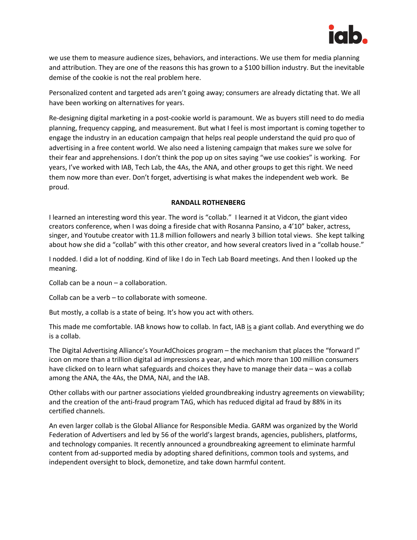

we use them to measure audience sizes, behaviors, and interactions. We use them for media planning and attribution. They are one of the reasons this has grown to a \$100 billion industry. But the inevitable demise of the cookie is not the real problem here.

Personalized content and targeted ads aren't going away; consumers are already dictating that. We all have been working on alternatives for years.

Re-designing digital marketing in a post-cookie world is paramount. We as buyers still need to do media planning, frequency capping, and measurement. But what I feel is most important is coming together to engage the industry in an education campaign that helps real people understand the quid pro quo of advertising in a free content world. We also need a listening campaign that makes sure we solve for their fear and apprehensions. I don't think the pop up on sites saying "we use cookies" is working. For years, I've worked with IAB, Tech Lab, the 4As, the ANA, and other groups to get this right. We need them now more than ever. Don't forget, advertising is what makes the independent web work. Be proud.

## **RANDALL ROTHENBERG**

I learned an interesting word this year. The word is "collab." I learned it at Vidcon, the giant video creators conference, when I was doing a fireside chat with Rosanna Pansino, a 4'10" baker, actress, singer, and Youtube creator with 11.8 million followers and nearly 3 billion total views. She kept talking about how she did a "collab" with this other creator, and how several creators lived in a "collab house."

I nodded. I did a lot of nodding. Kind of like I do in Tech Lab Board meetings. And then I looked up the meaning.

Collab can be a noun – a collaboration.

Collab can be a verb – to collaborate with someone.

But mostly, a collab is a state of being. It's how you act with others.

This made me comfortable. IAB knows how to collab. In fact, IAB is a giant collab. And everything we do is a collab.

The Digital Advertising Alliance's YourAdChoices program – the mechanism that places the "forward I" icon on more than a trillion digital ad impressions a year, and which more than 100 million consumers have clicked on to learn what safeguards and choices they have to manage their data – was a collab among the ANA, the 4As, the DMA, NAI, and the IAB.

Other collabs with our partner associations yielded groundbreaking industry agreements on viewability; and the creation of the anti-fraud program TAG, which has reduced digital ad fraud by 88% in its certified channels.

An even larger collab is the Global Alliance for Responsible Media. GARM was organized by the World Federation of Advertisers and led by 56 of the world's largest brands, agencies, publishers, platforms, and technology companies. It recently announced a groundbreaking agreement to eliminate harmful content from ad-supported media by adopting shared definitions, common tools and systems, and independent oversight to block, demonetize, and take down harmful content.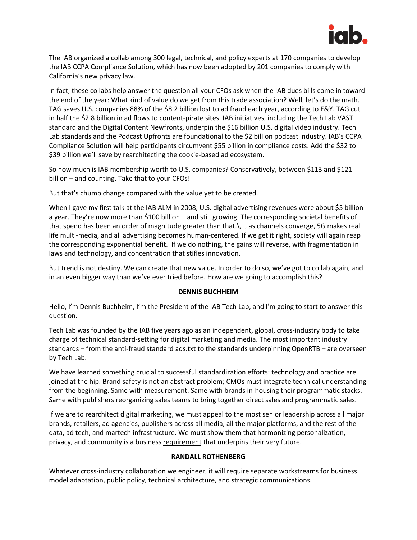

The IAB organized a collab among 300 legal, technical, and policy experts at 170 companies to develop the IAB CCPA Compliance Solution, which has now been adopted by 201 companies to comply with California's new privacy law.

In fact, these collabs help answer the question all your CFOs ask when the IAB dues bills come in toward the end of the year: What kind of value do we get from this trade association? Well, let's do the math. TAG saves U.S. companies 88% of the \$8.2 billion lost to ad fraud each year, according to E&Y. TAG cut in half the \$2.8 billion in ad flows to content-pirate sites. IAB initiatives, including the Tech Lab VAST standard and the Digital Content Newfronts, underpin the \$16 billion U.S. digital video industry. Tech Lab standards and the Podcast Upfronts are foundational to the \$2 billion podcast industry. IAB's CCPA Compliance Solution will help participants circumvent \$55 billion in compliance costs. Add the \$32 to \$39 billion we'll save by rearchitecting the cookie-based ad ecosystem.

So how much is IAB membership worth to U.S. companies? Conservatively, between \$113 and \$121 billion – and counting. Take that to your CFOs!

But that's chump change compared with the value yet to be created.

When I gave my first talk at the IAB ALM in 2008, U.S. digital advertising revenues were about \$5 billion a year. They're now more than \$100 billion – and still growing. The corresponding societal benefits of that spend has been an order of magnitude greater than that.\, , as channels converge, 5G makes real life multi-media, and all advertising becomes human-centered. If we get it right, society will again reap the corresponding exponential benefit. If we do nothing, the gains will reverse, with fragmentation in laws and technology, and concentration that stifles innovation.

But trend is not destiny. We can create that new value. In order to do so, we've got to collab again, and in an even bigger way than we've ever tried before. How are we going to accomplish this?

### **DENNIS BUCHHEIM**

Hello, I'm Dennis Buchheim, I'm the President of the IAB Tech Lab, and I'm going to start to answer this question.

Tech Lab was founded by the IAB five years ago as an independent, global, cross-industry body to take charge of technical standard-setting for digital marketing and media. The most important industry standards – from the anti-fraud standard ads.txt to the standards underpinning OpenRTB – are overseen by Tech Lab.

We have learned something crucial to successful standardization efforts: technology and practice are joined at the hip. Brand safety is not an abstract problem; CMOs must integrate technical understanding from the beginning. Same with measurement. Same with brands in-housing their programmatic stacks. Same with publishers reorganizing sales teams to bring together direct sales and programmatic sales.

If we are to rearchitect digital marketing, we must appeal to the most senior leadership across all major brands, retailers, ad agencies, publishers across all media, all the major platforms, and the rest of the data, ad tech, and martech infrastructure. We must show them that harmonizing personalization, privacy, and community is a business requirement that underpins their very future.

### **RANDALL ROTHENBERG**

Whatever cross-industry collaboration we engineer, it will require separate workstreams for business model adaptation, public policy, technical architecture, and strategic communications.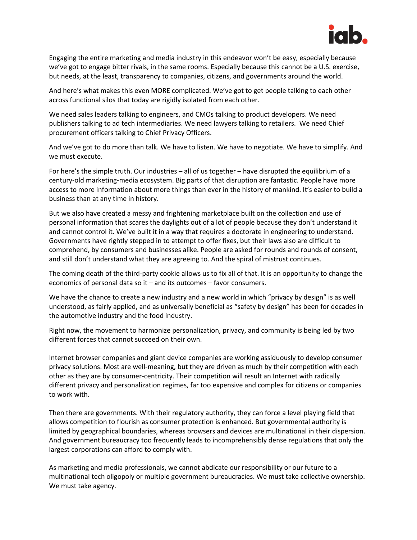

Engaging the entire marketing and media industry in this endeavor won't be easy, especially because we've got to engage bitter rivals, in the same rooms. Especially because this cannot be a U.S. exercise, but needs, at the least, transparency to companies, citizens, and governments around the world.

And here's what makes this even MORE complicated. We've got to get people talking to each other across functional silos that today are rigidly isolated from each other.

We need sales leaders talking to engineers, and CMOs talking to product developers. We need publishers talking to ad tech intermediaries. We need lawyers talking to retailers. We need Chief procurement officers talking to Chief Privacy Officers.

And we've got to do more than talk. We have to listen. We have to negotiate. We have to simplify. And we must execute.

For here's the simple truth. Our industries – all of us together – have disrupted the equilibrium of a century-old marketing-media ecosystem. Big parts of that disruption are fantastic. People have more access to more information about more things than ever in the history of mankind. It's easier to build a business than at any time in history.

But we also have created a messy and frightening marketplace built on the collection and use of personal information that scares the daylights out of a lot of people because they don't understand it and cannot control it. We've built it in a way that requires a doctorate in engineering to understand. Governments have rightly stepped in to attempt to offer fixes, but their laws also are difficult to comprehend, by consumers and businesses alike. People are asked for rounds and rounds of consent, and still don't understand what they are agreeing to. And the spiral of mistrust continues.

The coming death of the third-party cookie allows us to fix all of that. It is an opportunity to change the economics of personal data so it – and its outcomes – favor consumers.

We have the chance to create a new industry and a new world in which "privacy by design" is as well understood, as fairly applied, and as universally beneficial as "safety by design" has been for decades in the automotive industry and the food industry.

Right now, the movement to harmonize personalization, privacy, and community is being led by two different forces that cannot succeed on their own.

Internet browser companies and giant device companies are working assiduously to develop consumer privacy solutions. Most are well-meaning, but they are driven as much by their competition with each other as they are by consumer-centricity. Their competition will result an Internet with radically different privacy and personalization regimes, far too expensive and complex for citizens or companies to work with.

Then there are governments. With their regulatory authority, they can force a level playing field that allows competition to flourish as consumer protection is enhanced. But governmental authority is limited by geographical boundaries, whereas browsers and devices are multinational in their dispersion. And government bureaucracy too frequently leads to incomprehensibly dense regulations that only the largest corporations can afford to comply with.

As marketing and media professionals, we cannot abdicate our responsibility or our future to a multinational tech oligopoly or multiple government bureaucracies. We must take collective ownership. We must take agency.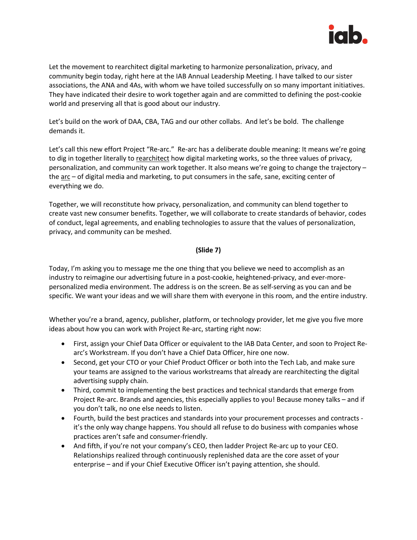

Let the movement to rearchitect digital marketing to harmonize personalization, privacy, and community begin today, right here at the IAB Annual Leadership Meeting. I have talked to our sister associations, the ANA and 4As, with whom we have toiled successfully on so many important initiatives. They have indicated their desire to work together again and are committed to defining the post-cookie world and preserving all that is good about our industry.

Let's build on the work of DAA, CBA, TAG and our other collabs. And let's be bold. The challenge demands it.

Let's call this new effort Project "Re-arc." Re-arc has a deliberate double meaning: It means we're going to dig in together literally to rearchitect how digital marketing works, so the three values of privacy, personalization, and community can work together. It also means we're going to change the trajectory – the arc – of digital media and marketing, to put consumers in the safe, sane, exciting center of everything we do.

Together, we will reconstitute how privacy, personalization, and community can blend together to create vast new consumer benefits. Together, we will collaborate to create standards of behavior, codes of conduct, legal agreements, and enabling technologies to assure that the values of personalization, privacy, and community can be meshed.

# **(Slide 7)**

Today, I'm asking you to message me the one thing that you believe we need to accomplish as an industry to reimagine our advertising future in a post-cookie, heightened-privacy, and ever-morepersonalized media environment. The address is on the screen. Be as self-serving as you can and be specific. We want your ideas and we will share them with everyone in this room, and the entire industry.

Whether you're a brand, agency, publisher, platform, or technology provider, let me give you five more ideas about how you can work with Project Re-arc, starting right now:

- First, assign your Chief Data Officer or equivalent to the IAB Data Center, and soon to Project Rearc's Workstream. If you don't have a Chief Data Officer, hire one now.
- Second, get your CTO or your Chief Product Officer or both into the Tech Lab, and make sure your teams are assigned to the various workstreams that already are rearchitecting the digital advertising supply chain.
- Third, commit to implementing the best practices and technical standards that emerge from Project Re-arc. Brands and agencies, this especially applies to you! Because money talks – and if you don't talk, no one else needs to listen.
- Fourth, build the best practices and standards into your procurement processes and contracts it's the only way change happens. You should all refuse to do business with companies whose practices aren't safe and consumer-friendly.
- And fifth, if you're not your company's CEO, then ladder Project Re-arc up to your CEO. Relationships realized through continuously replenished data are the core asset of your enterprise – and if your Chief Executive Officer isn't paying attention, she should.